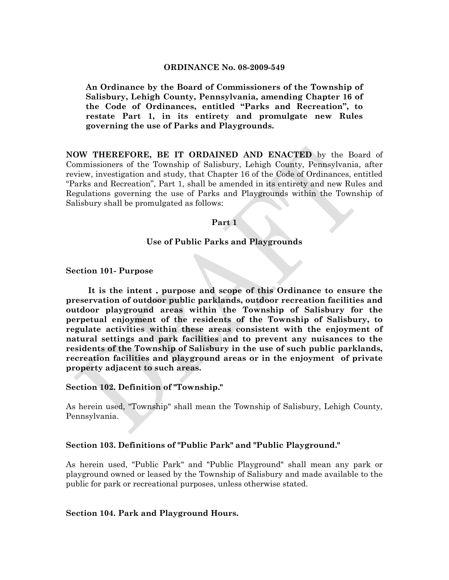#### **ORDINANCE No. 08-2009-549**

**An Ordinance by the Board of Commissioners of the Township of Salisbury, Lehigh County, Pennsylvania, amending Chapter 16 of the Code of Ordinances, entitled "Parks and Recreation", to restate Part 1, in its entirety and promulgate new Rules governing the use of Parks and Playgrounds.** 

**NOW THEREFORE, BE IT ORDAINED AND ENACTED** by the Board of Commissioners of the Township of Salisbury, Lehigh County, Pennsylvania, after review, investigation and study, that Chapter 16 of the Code of Ordinances, entitled "Parks and Recreation", Part 1, shall be amended in its entirety and new Rules and Regulations governing the use of Parks and Playgrounds within the Township of Salisbury shall be promulgated as follows:

#### **Part 1**

#### **Use of Public Parks and Playgrounds**

**Section 101- Purpose** 

 **It is the intent , purpose and scope of this Ordinance to ensure the preservation of outdoor public parklands, outdoor recreation facilities and outdoor playground areas within the Township of Salisbury for the perpetual enjoyment of the residents of the Township of Salisbury, to regulate activities within these areas consistent with the enjoyment of natural settings and park facilities and to prevent any nuisances to the residents of the Township of Salisbury in the use of such public parklands, recreation facilities and playground areas or in the enjoyment of private property adjacent to such areas.** 

#### **Section 102. Definition of "Township."**

As herein used, "Township" shall mean the Township of Salisbury, Lehigh County, Pennsylvania.

#### **Section 103. Definitions of "Public Park" and "Public Playground."**

As herein used, "Public Park" and "Public Playground" shall mean any park or playground owned or leased by the Township of Salisbury and made available to the public for park or recreational purposes, unless otherwise stated.

#### **Section 104. Park and Playground Hours.**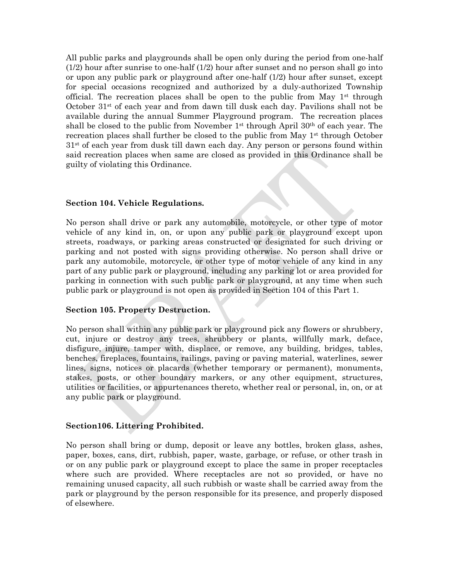All public parks and playgrounds shall be open only during the period from one-half  $(1/2)$  hour after sunrise to one-half  $(1/2)$  hour after sunset and no person shall go into or upon any public park or playground after one-half (1/2) hour after sunset, except for special occasions recognized and authorized by a duly-authorized Township official. The recreation places shall be open to the public from May  $1<sup>st</sup>$  through October  $31<sup>st</sup>$  of each year and from dawn till dusk each day. Pavilions shall not be available during the annual Summer Playground program. The recreation places shall be closed to the public from November  $1<sup>st</sup>$  through April 30<sup>th</sup> of each year. The recreation places shall further be closed to the public from May  $1<sup>st</sup>$  through October  $31<sup>st</sup>$  of each year from dusk till dawn each day. Any person or persons found within said recreation places when same are closed as provided in this Ordinance shall be guilty of violating this Ordinance.

### **Section 104. Vehicle Regulations.**

No person shall drive or park any automobile, motorcycle, or other type of motor vehicle of any kind in, on, or upon any public park or playground except upon streets, roadways, or parking areas constructed or designated for such driving or parking and not posted with signs providing otherwise. No person shall drive or park any automobile, motorcycle, or other type of motor vehicle of any kind in any part of any public park or playground, including any parking lot or area provided for parking in connection with such public park or playground, at any time when such public park or playground is not open as provided in Section 104 of this Part 1.

### **Section 105. Property Destruction.**

No person shall within any public park or playground pick any flowers or shrubbery, cut, injure or destroy any trees, shrubbery or plants, willfully mark, deface, disfigure, injure, tamper with, displace, or remove, any building, bridges, tables, benches, fireplaces, fountains, railings, paving or paving material, waterlines, sewer lines, signs, notices or placards (whether temporary or permanent), monuments, stakes, posts, or other boundary markers, or any other equipment, structures, utilities or facilities, or appurtenances thereto, whether real or personal, in, on, or at any public park or playground.

### **Section106. Littering Prohibited.**

No person shall bring or dump, deposit or leave any bottles, broken glass, ashes, paper, boxes, cans, dirt, rubbish, paper, waste, garbage, or refuse, or other trash in or on any public park or playground except to place the same in proper receptacles where such are provided. Where receptacles are not so provided, or have no remaining unused capacity, all such rubbish or waste shall be carried away from the park or playground by the person responsible for its presence, and properly disposed of elsewhere.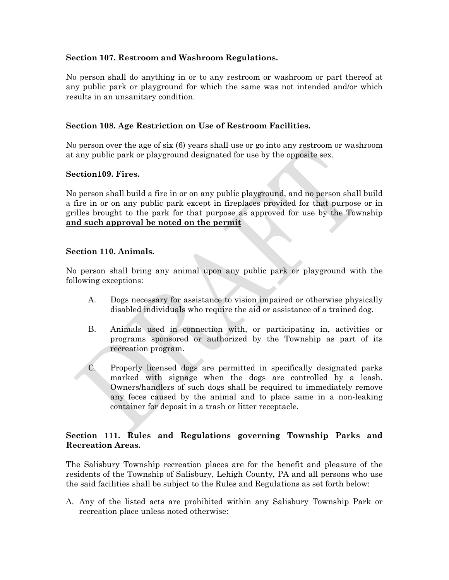## **Section 107. Restroom and Washroom Regulations.**

No person shall do anything in or to any restroom or washroom or part thereof at any public park or playground for which the same was not intended and/or which results in an unsanitary condition.

## **Section 108. Age Restriction on Use of Restroom Facilities.**

No person over the age of six (6) years shall use or go into any restroom or washroom at any public park or playground designated for use by the opposite sex.

### **Section109. Fires.**

No person shall build a fire in or on any public playground, and no person shall build a fire in or on any public park except in fireplaces provided for that purpose or in grilles brought to the park for that purpose as approved for use by the Township **and such approval be noted on the permit** 

### **Section 110. Animals.**

No person shall bring any animal upon any public park or playground with the following exceptions:

- A. Dogs necessary for assistance to vision impaired or otherwise physically disabled individuals who require the aid or assistance of a trained dog.
- B. Animals used in connection with, or participating in, activities or programs sponsored or authorized by the Township as part of its recreation program.
- C. Properly licensed dogs are permitted in specifically designated parks marked with signage when the dogs are controlled by a leash. Owners/handlers of such dogs shall be required to immediately remove any feces caused by the animal and to place same in a non-leaking container for deposit in a trash or litter receptacle.

# **Section 111. Rules and Regulations governing Township Parks and Recreation Areas.**

The Salisbury Township recreation places are for the benefit and pleasure of the residents of the Township of Salisbury, Lehigh County, PA and all persons who use the said facilities shall be subject to the Rules and Regulations as set forth below:

A. Any of the listed acts are prohibited within any Salisbury Township Park or recreation place unless noted otherwise: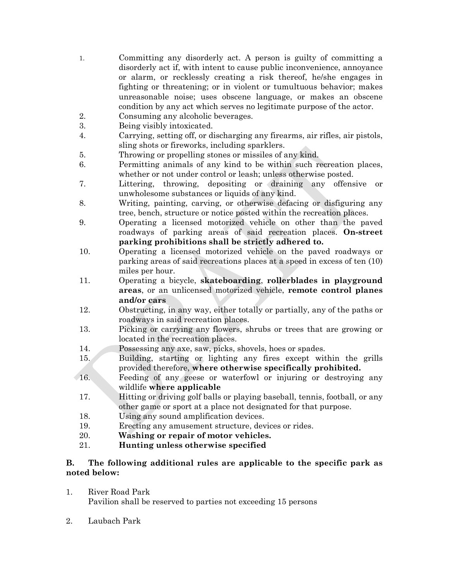- 1. Committing any disorderly act. A person is guilty of committing a disorderly act if, with intent to cause public inconvenience, annoyance or alarm, or recklessly creating a risk thereof, he/she engages in fighting or threatening; or in violent or tumultuous behavior; makes unreasonable noise; uses obscene language, or makes an obscene condition by any act which serves no legitimate purpose of the actor.
- 2. Consuming any alcoholic beverages.
- 3. Being visibly intoxicated.
- 4. Carrying, setting off, or discharging any firearms, air rifles, air pistols, sling shots or fireworks, including sparklers.
- 5. Throwing or propelling stones or missiles of any kind.
- 6. Permitting animals of any kind to be within such recreation places, whether or not under control or leash; unless otherwise posted.
- 7. Littering, throwing, depositing or draining any offensive or unwholesome substances or liquids of any kind.
- 8. Writing, painting, carving, or otherwise defacing or disfiguring any tree, bench, structure or notice posted within the recreation places.
- 9. Operating a licensed motorized vehicle on other than the paved roadways of parking areas of said recreation places. **On-street parking prohibitions shall be strictly adhered to.**
- 10. Operating a licensed motorized vehicle on the paved roadways or parking areas of said recreations places at a speed in excess of ten (10) miles per hour.
- 11. Operating a bicycle, **skateboarding**, **rollerblades in playground areas**, or an unlicensed motorized vehicle, **remote control planes and/or cars**
- 12. Obstructing, in any way, either totally or partially, any of the paths or roadways in said recreation places.
- 13. Picking or carrying any flowers, shrubs or trees that are growing or located in the recreation places.
- 14. Possessing any axe, saw, picks, shovels, hoes or spades.
- 15. Building, starting or lighting any fires except within the grills provided therefore, **where otherwise specifically prohibited.**
- 16. Feeding of any geese or waterfowl or injuring or destroying any wildlife **where applicable**
- 17. Hitting or driving golf balls or playing baseball, tennis, football, or any other game or sport at a place not designated for that purpose.
- 18. Using any sound amplification devices.
- 19. Erecting any amusement structure, devices or rides.
- 20. **Washing or repair of motor vehicles.**
- 21. **Hunting unless otherwise specified**

# **B. The following additional rules are applicable to the specific park as noted below:**

- 1. River Road Park Pavilion shall be reserved to parties not exceeding 15 persons
- 2. Laubach Park